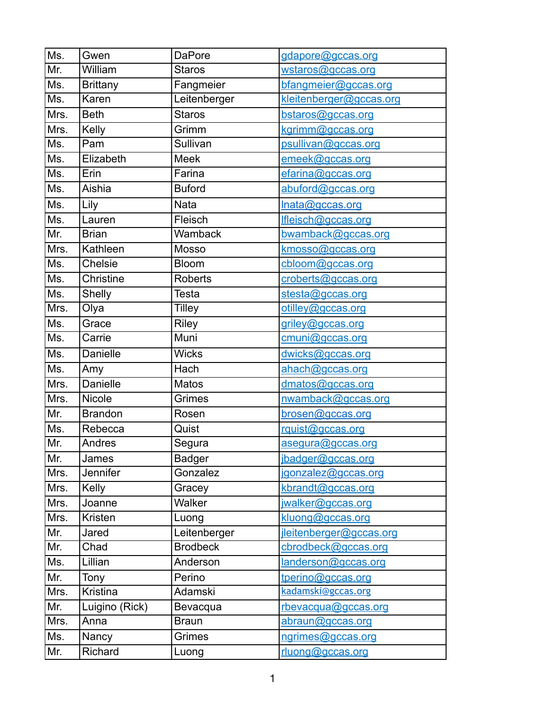| Ms.                        | Gwen                   | <b>DaPore</b>             | gdapore@gccas.org       |
|----------------------------|------------------------|---------------------------|-------------------------|
| Mr.                        | William                | <b>Staros</b>             | wstaros@gccas.org       |
| Ms.                        | <b>Brittany</b>        | Fangmeier                 | bfangmeier@gccas.org    |
| Ms.                        | Karen                  | Leitenberger              | kleitenberger@gccas.org |
| Mrs.                       | <b>Beth</b>            | <b>Staros</b>             | bstaros@gccas.org       |
| Mrs.                       | Kelly                  | Grimm                     | kgrimm@gccas.org        |
| Ms.                        | Pam                    | Sullivan                  | psullivan@gccas.org     |
| Ms.                        | Elizabeth              | <b>Meek</b>               | emeek@gccas.org         |
| Ms.                        | Erin                   | Farina                    | efarina@gccas.org       |
| Ms.                        | Aishia                 | <b>Buford</b>             | abuford@gccas.org       |
| Ms.                        | Lily                   | Nata                      |                         |
|                            |                        |                           | Inata@gccas.org         |
| Ms.<br>Mr.                 | Lauren<br><b>Brian</b> | Fleisch<br><b>Wamback</b> | Ifleisch@gccas.org      |
|                            |                        |                           | bwamback@gccas.org      |
| Mrs.                       | Kathleen               | Mosso                     | kmosso@gccas.org        |
| Ms.                        | <b>Chelsie</b>         | <b>Bloom</b>              | cbloom@gccas.org        |
| Ms.                        | Christine              | <b>Roberts</b>            | croberts@gccas.org      |
| Ms.                        | <b>Shelly</b>          | <b>Testa</b>              | stesta@gccas.org        |
| Mrs.                       | Olya                   | Tilley                    | otilley@gccas.org       |
| Ms.                        | Grace                  | <b>Riley</b>              | griley@gccas.org        |
| Ms.                        | Carrie                 | <b>Muni</b>               | cmuni@gccas.org         |
| Ms.                        | Danielle               | <b>Wicks</b>              | dwicks@gccas.org        |
| Ms.                        | Amy                    | Hach                      | ahach@gccas.org         |
| Mrs.                       | <b>Danielle</b>        | <b>Matos</b>              | dmatos@gccas.org        |
| Mrs.                       | Nicole                 | Grimes                    | nwamback@gccas.org      |
| $\overline{\mathsf{Mr}}$ . | <b>Brandon</b>         | Rosen                     | brosen@gccas.org        |
| Ms.                        | Rebecca                | Quist                     | rquist@gccas.org        |
| Mr.                        | Andres                 | Segura                    | asegura@gccas.org       |
| Mr.                        | James                  | <b>Badger</b>             | jbadger@gccas.org       |
| Mrs.                       | Jennifer               | Gonzalez                  | jgonzalez@gccas.org     |
| Mrs.                       | <b>Kelly</b>           | Gracey                    | kbrandt@gccas.org       |
| Mrs.                       | Joanne                 | Walker                    | jwalker@gccas.org       |
| Mrs.                       | Kristen                | Luong                     | kluong@gccas.org        |
| Mr.                        | Jared                  | Leitenberger              | jleitenberger@gccas.org |
| Mr.                        | Chad                   | <b>Brodbeck</b>           | cbrodbeck@gccas.org     |
| Ms.                        | Lillian                | Anderson                  | landerson@gccas.org     |
| Mr.                        | Tony                   | Perino                    | tperino@gccas.org       |
| Mrs.                       | Kristina               | Adamski                   | kadamski@gccas.org      |
| Mr.                        | Luigino (Rick)         | Bevacqua                  | rbevacqua@gccas.org     |
| Mrs.                       | Anna                   | <b>Braun</b>              | abraun@gccas.org        |
| Ms.                        | Nancy                  | Grimes                    | ngrimes@gccas.org       |
| Mr.                        | Richard                | Luong                     | rluong@gccas.org        |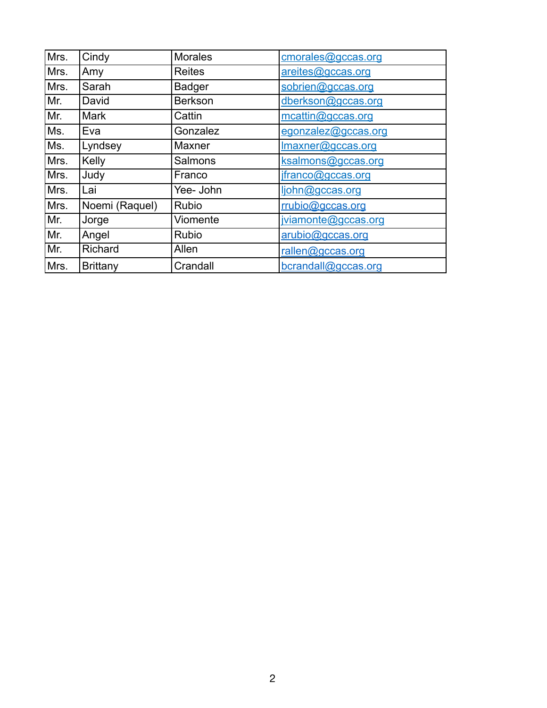| Mrs. | Cindy           | <b>Morales</b> | cmorales@gccas.org  |
|------|-----------------|----------------|---------------------|
| Mrs. | Amy             | <b>Reites</b>  | areites@gccas.org   |
| Mrs. | Sarah           | <b>Badger</b>  | sobrien@gccas.org   |
| Mr.  | David           | <b>Berkson</b> | dberkson@gccas.org  |
| Mr.  | <b>Mark</b>     | Cattin         | mcattin@gccas.org   |
| Ms.  | Eva             | Gonzalez       | egonzalez@gccas.org |
| Ms.  | Lyndsey         | Maxner         | Imaxner@gccas.org   |
| Mrs. | Kelly           | <b>Salmons</b> | ksalmons@gccas.org  |
| Mrs. | Judy            | Franco         | jfranco@gccas.org   |
| Mrs. | Lai             | Yee- John      | ljohn@gccas.org     |
| Mrs. | Noemi (Raquel)  | <b>Rubio</b>   | rrubio@gccas.org    |
| Mr.  | Jorge           | Viomente       | jviamonte@gccas.org |
| Mr.  | Angel           | <b>Rubio</b>   | arubio@gccas.org    |
| Mr.  | Richard         | Allen          | rallen@gccas.org    |
| Mrs. | <b>Brittany</b> | Crandall       | bcrandall@gccas.org |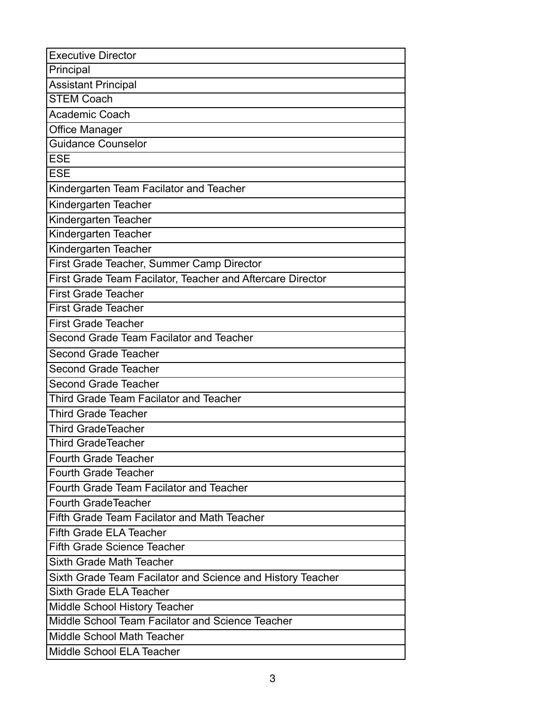| <b>Executive Director</b>                                  |  |  |  |  |
|------------------------------------------------------------|--|--|--|--|
| Principal                                                  |  |  |  |  |
| <b>Assistant Principal</b>                                 |  |  |  |  |
| <b>STEM Coach</b>                                          |  |  |  |  |
| Academic Coach                                             |  |  |  |  |
| <b>Office Manager</b>                                      |  |  |  |  |
| <b>Guidance Counselor</b>                                  |  |  |  |  |
| <b>ESE</b>                                                 |  |  |  |  |
| <b>ESE</b>                                                 |  |  |  |  |
| Kindergarten Team Facilator and Teacher                    |  |  |  |  |
| Kindergarten Teacher                                       |  |  |  |  |
| Kindergarten Teacher                                       |  |  |  |  |
| Kindergarten Teacher                                       |  |  |  |  |
| Kindergarten Teacher                                       |  |  |  |  |
| First Grade Teacher, Summer Camp Director                  |  |  |  |  |
| First Grade Team Facilator, Teacher and Aftercare Director |  |  |  |  |
| <b>First Grade Teacher</b>                                 |  |  |  |  |
| <b>First Grade Teacher</b>                                 |  |  |  |  |
| <b>First Grade Teacher</b>                                 |  |  |  |  |
| Second Grade Team Facilator and Teacher                    |  |  |  |  |
| <b>Second Grade Teacher</b>                                |  |  |  |  |
| <b>Second Grade Teacher</b>                                |  |  |  |  |
| <b>Second Grade Teacher</b>                                |  |  |  |  |
| Third Grade Team Facilator and Teacher                     |  |  |  |  |
| <b>Third Grade Teacher</b>                                 |  |  |  |  |
| <b>Third GradeTeacher</b>                                  |  |  |  |  |
| <b>Third GradeTeacher</b>                                  |  |  |  |  |
| <b>Fourth Grade Teacher</b>                                |  |  |  |  |
| <b>Fourth Grade Teacher</b>                                |  |  |  |  |
| Fourth Grade Team Facilator and Teacher                    |  |  |  |  |
| <b>Fourth GradeTeacher</b>                                 |  |  |  |  |
| Fifth Grade Team Facilator and Math Teacher                |  |  |  |  |
| <b>Fifth Grade ELA Teacher</b>                             |  |  |  |  |
| <b>Fifth Grade Science Teacher</b>                         |  |  |  |  |
| <b>Sixth Grade Math Teacher</b>                            |  |  |  |  |
| Sixth Grade Team Facilator and Science and History Teacher |  |  |  |  |
| Sixth Grade ELA Teacher                                    |  |  |  |  |
| Middle School History Teacher                              |  |  |  |  |
| Middle School Team Facilator and Science Teacher           |  |  |  |  |
| Middle School Math Teacher                                 |  |  |  |  |
| Middle School ELA Teacher                                  |  |  |  |  |